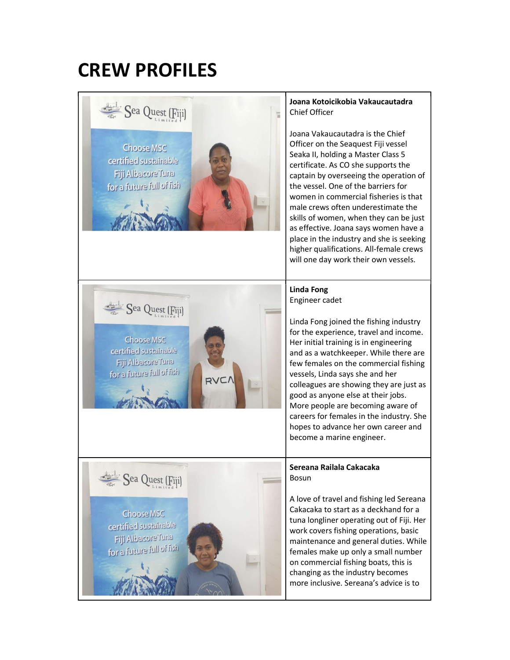# CREW PROFILES



### Joana Kotoicikobia Vakaucautadra Chief Officer

Joana Vakaucautadra is the Chief Officer on the Seaquest Fiji vessel Seaka II, holding a Master Class 5 certificate. As CO she supports the captain by overseeing the operation of the vessel. One of the barriers for women in commercial fisheries is that male crews often underestimate the skills of women, when they can be just as effective. Joana says women have a place in the industry and she is seeking higher qualifications. All-female crews will one day work their own vessels.

#### Linda Fong Engineer cadet

Linda Fong joined the fishing industry for the experience, travel and income. Her initial training is in engineering and as a watchkeeper. While there are few females on the commercial fishing vessels, Linda says she and her colleagues are showing they are just as good as anyone else at their jobs. More people are becoming aware of careers for females in the industry. She hopes to advance her own career and become a marine engineer.

## Sereana Railala Cakacaka

A love of travel and fishing led Sereana Cakacaka to start as a deckhand for a tuna longliner operating out of Fiji. Her work covers fishing operations, basic maintenance and general duties. While females make up only a small number on commercial fishing boats, this is changing as the industry becomes more inclusive. Sereana's advice is to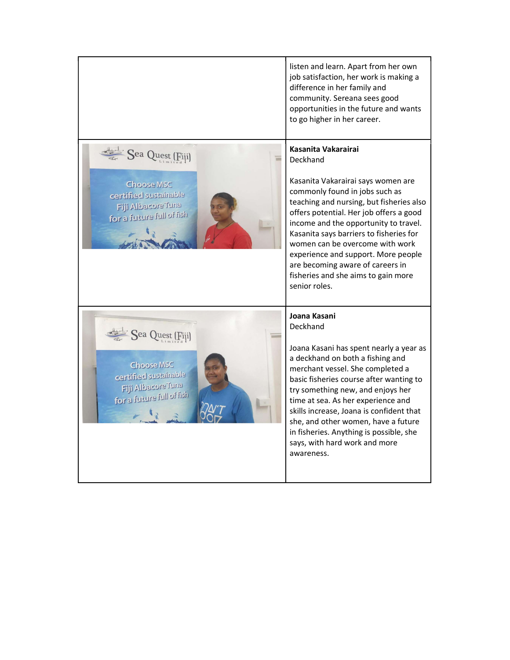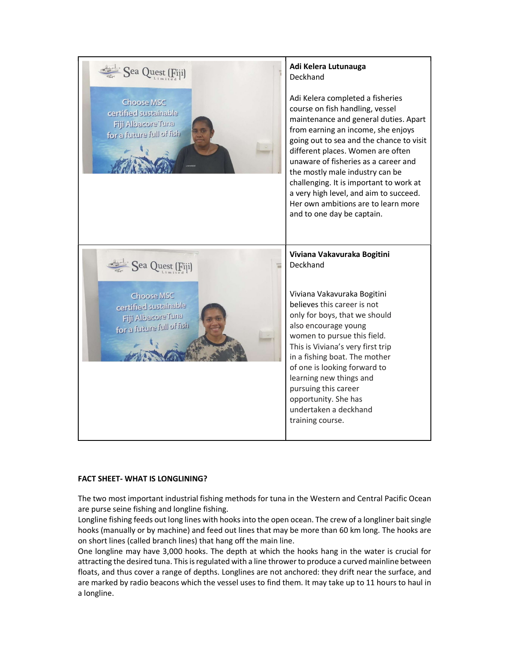

#### FACT SHEET- WHAT IS LONGLINING?

The two most important industrial fishing methods for tuna in the Western and Central Pacific Ocean are purse seine fishing and longline fishing.

Longline fishing feeds out long lines with hooks into the open ocean. The crew of a longliner bait single hooks (manually or by machine) and feed out lines that may be more than 60 km long. The hooks are on short lines (called branch lines) that hang off the main line.

One longline may have 3,000 hooks. The depth at which the hooks hang in the water is crucial for attracting the desired tuna. This is regulated with a line thrower to produce a curved mainline between floats, and thus cover a range of depths. Longlines are not anchored: they drift near the surface, and are marked by radio beacons which the vessel uses to find them. It may take up to 11 hours to haul in a longline.